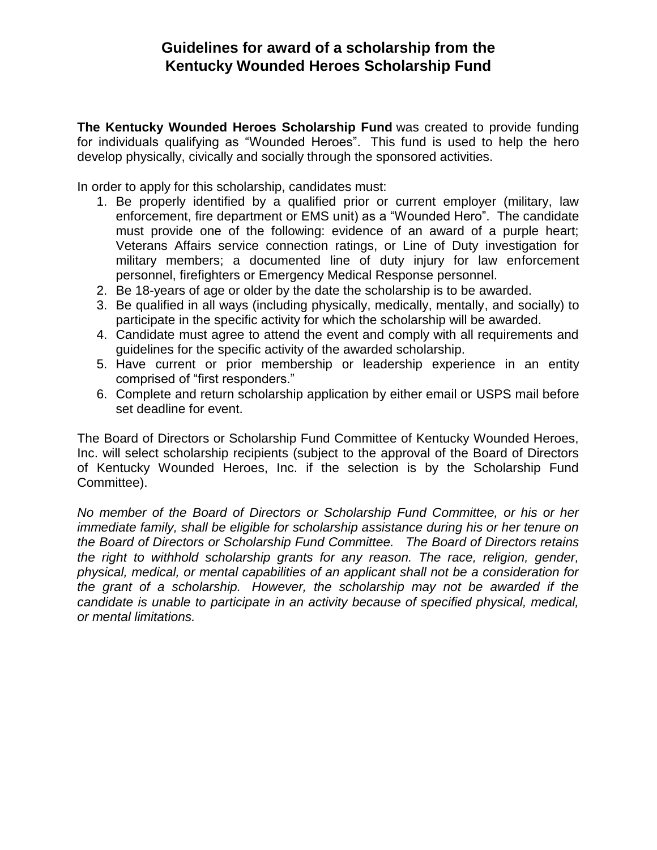## **Guidelines for award of a scholarship from the Kentucky Wounded Heroes Scholarship Fund**

**The Kentucky Wounded Heroes Scholarship Fund** was created to provide funding for individuals qualifying as "Wounded Heroes". This fund is used to help the hero develop physically, civically and socially through the sponsored activities.

In order to apply for this scholarship, candidates must:

- 1. Be properly identified by a qualified prior or current employer (military, law enforcement, fire department or EMS unit) as a "Wounded Hero". The candidate must provide one of the following: evidence of an award of a purple heart; Veterans Affairs service connection ratings, or Line of Duty investigation for military members; a documented line of duty injury for law enforcement personnel, firefighters or Emergency Medical Response personnel.
- 2. Be 18-years of age or older by the date the scholarship is to be awarded.
- 3. Be qualified in all ways (including physically, medically, mentally, and socially) to participate in the specific activity for which the scholarship will be awarded.
- 4. Candidate must agree to attend the event and comply with all requirements and guidelines for the specific activity of the awarded scholarship.
- 5. Have current or prior membership or leadership experience in an entity comprised of "first responders."
- 6. Complete and return scholarship application by either email or USPS mail before set deadline for event.

The Board of Directors or Scholarship Fund Committee of Kentucky Wounded Heroes, Inc. will select scholarship recipients (subject to the approval of the Board of Directors of Kentucky Wounded Heroes, Inc. if the selection is by the Scholarship Fund Committee).

*No member of the Board of Directors or Scholarship Fund Committee, or his or her immediate family, shall be eligible for scholarship assistance during his or her tenure on the Board of Directors or Scholarship Fund Committee. The Board of Directors retains the right to withhold scholarship grants for any reason. The race, religion, gender, physical, medical, or mental capabilities of an applicant shall not be a consideration for the grant of a scholarship. However, the scholarship may not be awarded if the candidate is unable to participate in an activity because of specified physical, medical, or mental limitations.*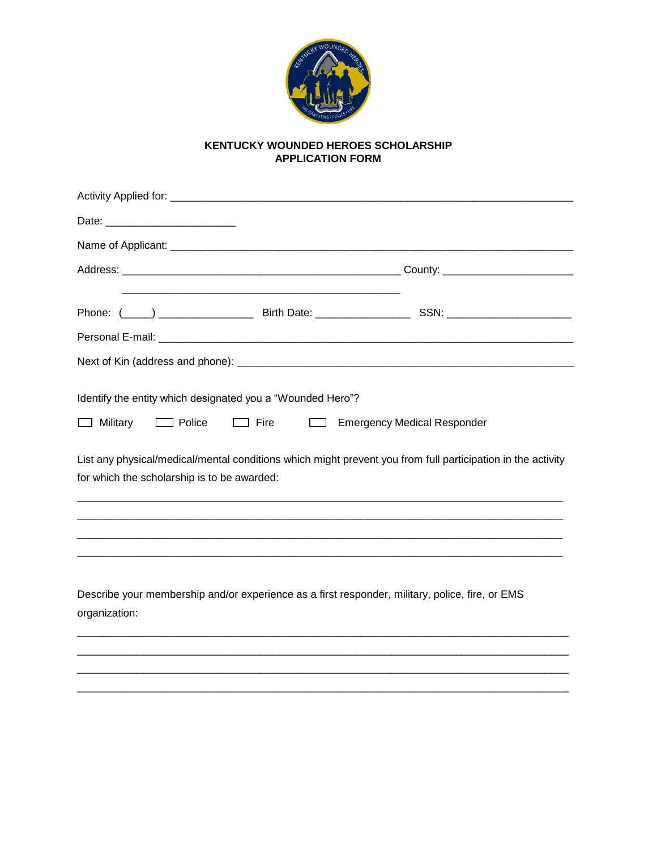

## KENTUCKY WOUNDED HEROES SCHOLARSHIP **APPLICATION FORM**

| $\Box$ Military<br>$\Box$ Police            | Identify the entity which designated you a "Wounded Hero"?<br>$\Box$ Fire<br>ا سا | <b>Emergency Medical Responder</b>                                                                          |  |
|---------------------------------------------|-----------------------------------------------------------------------------------|-------------------------------------------------------------------------------------------------------------|--|
| for which the scholarship is to be awarded: |                                                                                   | List any physical/medical/mental conditions which might prevent you from full participation in the activity |  |
| organization:                               |                                                                                   | Describe your membership and/or experience as a first responder, military, police, fire, or EMS             |  |